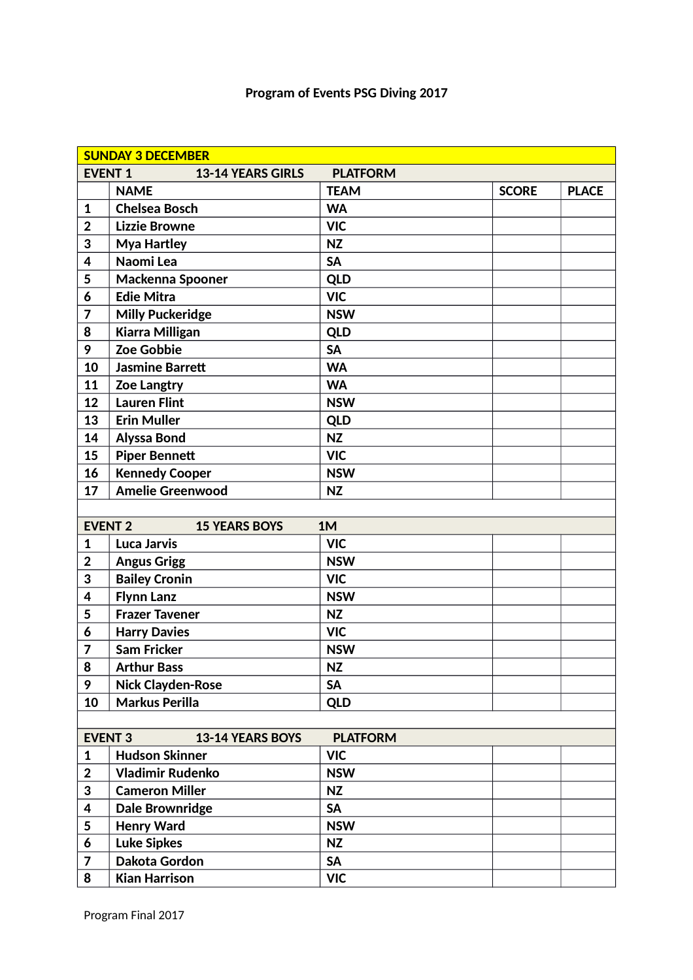## **Program of Events PSG Diving 2017**

|                | <b>SUNDAY 3 DECEMBER</b> |                 |              |              |
|----------------|--------------------------|-----------------|--------------|--------------|
| <b>EVENT 1</b> | <b>13-14 YEARS GIRLS</b> | <b>PLATFORM</b> |              |              |
|                | <b>NAME</b>              | <b>TEAM</b>     | <b>SCORE</b> | <b>PLACE</b> |
| $\mathbf 1$    | <b>Chelsea Bosch</b>     | <b>WA</b>       |              |              |
| $\mathbf 2$    | <b>Lizzie Browne</b>     | <b>VIC</b>      |              |              |
| 3              | <b>Mya Hartley</b>       | <b>NZ</b>       |              |              |
| 4              | Naomi Lea                | <b>SA</b>       |              |              |
| 5              | Mackenna Spooner         | <b>QLD</b>      |              |              |
| 6              | <b>Edie Mitra</b>        | <b>VIC</b>      |              |              |
| 7              | <b>Milly Puckeridge</b>  | <b>NSW</b>      |              |              |
| 8              | <b>Kiarra Milligan</b>   | <b>QLD</b>      |              |              |
| 9              | Zoe Gobbie               | <b>SA</b>       |              |              |
| 10             | <b>Jasmine Barrett</b>   | <b>WA</b>       |              |              |
| 11             | <b>Zoe Langtry</b>       | <b>WA</b>       |              |              |
| 12             | <b>Lauren Flint</b>      | <b>NSW</b>      |              |              |
| 13             | <b>Erin Muller</b>       | <b>QLD</b>      |              |              |
| 14             | <b>Alyssa Bond</b>       | <b>NZ</b>       |              |              |
| 15             | <b>Piper Bennett</b>     | <b>VIC</b>      |              |              |
| 16             | <b>Kennedy Cooper</b>    | <b>NSW</b>      |              |              |
| 17             | <b>Amelie Greenwood</b>  | <b>NZ</b>       |              |              |
|                |                          |                 |              |              |
| <b>EVENT 2</b> | <b>15 YEARS BOYS</b>     | 1M              |              |              |
| $\mathbf 1$    | <b>Luca Jarvis</b>       | <b>VIC</b>      |              |              |
| $\mathbf 2$    | <b>Angus Grigg</b>       | <b>NSW</b>      |              |              |
| 3              | <b>Bailey Cronin</b>     | <b>VIC</b>      |              |              |
| 4              | <b>Flynn Lanz</b>        | <b>NSW</b>      |              |              |
| 5              | <b>Frazer Tavener</b>    | <b>NZ</b>       |              |              |
| 6              | <b>Harry Davies</b>      | <b>VIC</b>      |              |              |
| $\overline{7}$ | <b>Sam Fricker</b>       | <b>NSW</b>      |              |              |
| 8              | <b>Arthur Bass</b>       | <b>NZ</b>       |              |              |
| 9              | <b>Nick Clayden-Rose</b> | <b>SA</b>       |              |              |
| 10             | <b>Markus Perilla</b>    | <b>QLD</b>      |              |              |
|                |                          |                 |              |              |
| <b>EVENT 3</b> | <b>13-14 YEARS BOYS</b>  | <b>PLATFORM</b> |              |              |
| $\mathbf{1}$   | <b>Hudson Skinner</b>    | <b>VIC</b>      |              |              |
| $\overline{2}$ | <b>Vladimir Rudenko</b>  | <b>NSW</b>      |              |              |
| 3              | <b>Cameron Miller</b>    | <b>NZ</b>       |              |              |
| 4              | <b>Dale Brownridge</b>   | <b>SA</b>       |              |              |
| 5              | <b>Henry Ward</b>        | <b>NSW</b>      |              |              |
| 6              | <b>Luke Sipkes</b>       | <b>NZ</b>       |              |              |
| 7              | Dakota Gordon            | <b>SA</b>       |              |              |
| 8              | <b>Kian Harrison</b>     | <b>VIC</b>      |              |              |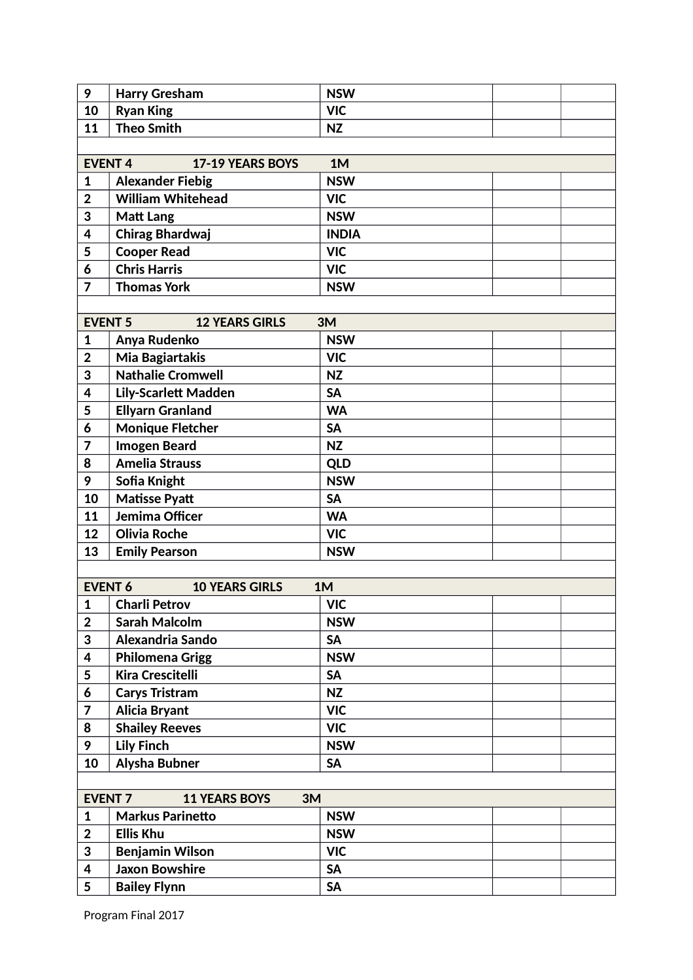| 9                       | <b>Harry Gresham</b>        | <b>NSW</b>   |  |  |  |
|-------------------------|-----------------------------|--------------|--|--|--|
| 10                      | <b>Ryan King</b>            | <b>VIC</b>   |  |  |  |
| 11                      | <b>Theo Smith</b>           | <b>NZ</b>    |  |  |  |
|                         |                             |              |  |  |  |
| <b>EVENT4</b>           | 17-19 YEARS BOYS            | 1M           |  |  |  |
| $\mathbf{1}$            | <b>Alexander Fiebig</b>     | <b>NSW</b>   |  |  |  |
| $\overline{2}$          | <b>William Whitehead</b>    | <b>VIC</b>   |  |  |  |
| 3                       | <b>Matt Lang</b>            | <b>NSW</b>   |  |  |  |
| 4                       | <b>Chirag Bhardwaj</b>      | <b>INDIA</b> |  |  |  |
| 5                       | <b>Cooper Read</b>          | <b>VIC</b>   |  |  |  |
| 6                       | <b>Chris Harris</b>         | <b>VIC</b>   |  |  |  |
| $\overline{7}$          | <b>Thomas York</b>          | <b>NSW</b>   |  |  |  |
|                         |                             |              |  |  |  |
| <b>EVENT 5</b>          | <b>12 YEARS GIRLS</b>       | 3M           |  |  |  |
| $\mathbf{1}$            | Anya Rudenko                | <b>NSW</b>   |  |  |  |
| $\overline{2}$          | Mia Bagiartakis             | <b>VIC</b>   |  |  |  |
| 3                       | <b>Nathalie Cromwell</b>    | <b>NZ</b>    |  |  |  |
| 4                       | <b>Lily-Scarlett Madden</b> | <b>SA</b>    |  |  |  |
| 5                       | <b>Ellyarn Granland</b>     | <b>WA</b>    |  |  |  |
| 6                       | <b>Monique Fletcher</b>     | <b>SA</b>    |  |  |  |
| 7                       | <b>Imogen Beard</b>         | <b>NZ</b>    |  |  |  |
| 8                       | <b>Amelia Strauss</b>       | <b>QLD</b>   |  |  |  |
| 9                       | Sofia Knight                | <b>NSW</b>   |  |  |  |
| 10                      | <b>Matisse Pyatt</b>        | <b>SA</b>    |  |  |  |
| 11                      | Jemima Officer              | <b>WA</b>    |  |  |  |
| 12                      | <b>Olivia Roche</b>         | <b>VIC</b>   |  |  |  |
| 13                      | <b>Emily Pearson</b>        | <b>NSW</b>   |  |  |  |
|                         |                             |              |  |  |  |
| <b>EVENT 6</b>          | <b>10 YEARS GIRLS</b>       | 1M           |  |  |  |
| $\mathbf{1}$            | <b>Charli Petrov</b>        | <b>VIC</b>   |  |  |  |
| $\boldsymbol{2}$        | <b>Sarah Malcolm</b>        | <b>NSW</b>   |  |  |  |
| 3                       | Alexandria Sando            | <b>SA</b>    |  |  |  |
| $\overline{\mathbf{4}}$ | <b>Philomena Grigg</b>      | <b>NSW</b>   |  |  |  |
| 5                       | <b>Kira Crescitelli</b>     | <b>SA</b>    |  |  |  |
| 6                       | <b>Carys Tristram</b>       | <b>NZ</b>    |  |  |  |
| $\overline{\mathbf{z}}$ | <b>Alicia Bryant</b>        | <b>VIC</b>   |  |  |  |
| 8                       | <b>Shailey Reeves</b>       | <b>VIC</b>   |  |  |  |
| 9                       | <b>Lily Finch</b>           | <b>NSW</b>   |  |  |  |
| 10                      | Alysha Bubner               | <b>SA</b>    |  |  |  |
|                         |                             |              |  |  |  |
| <b>EVENT 7</b>          | <b>11 YEARS BOYS</b><br>3M  |              |  |  |  |
| $\mathbf{1}$            | <b>Markus Parinetto</b>     | <b>NSW</b>   |  |  |  |
| $\overline{2}$          | <b>Ellis Khu</b>            | <b>NSW</b>   |  |  |  |
| 3                       | <b>Benjamin Wilson</b>      | <b>VIC</b>   |  |  |  |
| 4                       | <b>Jaxon Bowshire</b>       | <b>SA</b>    |  |  |  |
| 5                       | <b>Bailey Flynn</b>         | <b>SA</b>    |  |  |  |
|                         |                             |              |  |  |  |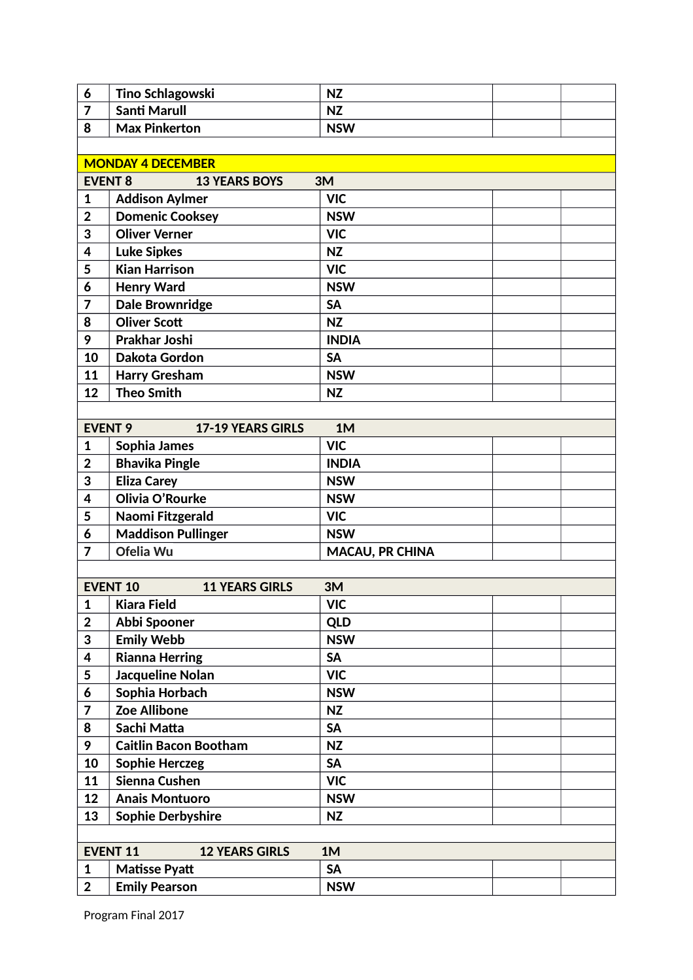| 6              | Tino Schlagowski                         | <b>NZ</b>              |  |
|----------------|------------------------------------------|------------------------|--|
| 7              | <b>Santi Marull</b>                      | <b>NZ</b>              |  |
| 8              | <b>Max Pinkerton</b>                     | <b>NSW</b>             |  |
|                |                                          |                        |  |
|                | <b>MONDAY 4 DECEMBER</b>                 |                        |  |
| <b>EVENT 8</b> | <b>13 YEARS BOYS</b>                     | 3M                     |  |
| 1              | <b>Addison Aylmer</b>                    | <b>VIC</b>             |  |
| $\overline{2}$ | <b>Domenic Cooksey</b>                   | <b>NSW</b>             |  |
| 3              | <b>Oliver Verner</b>                     | <b>VIC</b>             |  |
| 4              | <b>Luke Sipkes</b>                       | <b>NZ</b>              |  |
| 5              | <b>Kian Harrison</b>                     | <b>VIC</b>             |  |
| 6              | <b>Henry Ward</b>                        | <b>NSW</b>             |  |
| 7              | <b>Dale Brownridge</b>                   | <b>SA</b>              |  |
| 8              | <b>Oliver Scott</b>                      | <b>NZ</b>              |  |
| 9              | <b>Prakhar Joshi</b>                     | <b>INDIA</b>           |  |
| 10             | Dakota Gordon                            | <b>SA</b>              |  |
| 11             | <b>Harry Gresham</b>                     | <b>NSW</b>             |  |
| 12             | <b>Theo Smith</b>                        | <b>NZ</b>              |  |
|                |                                          |                        |  |
| <b>EVENT 9</b> | <b>17-19 YEARS GIRLS</b>                 | 1M                     |  |
| 1              | Sophia James                             | <b>VIC</b>             |  |
| $\overline{2}$ | <b>Bhavika Pingle</b>                    | <b>INDIA</b>           |  |
| 3              | <b>Eliza Carey</b>                       | <b>NSW</b>             |  |
| 4              | Olivia O'Rourke                          | <b>NSW</b>             |  |
| 5              | Naomi Fitzgerald                         | <b>VIC</b>             |  |
| 6              | <b>Maddison Pullinger</b>                | <b>NSW</b>             |  |
| 7              | Ofelia Wu                                | <b>MACAU, PR CHINA</b> |  |
|                |                                          |                        |  |
|                | <b>EVENT 10</b><br><b>11 YEARS GIRLS</b> | 3M                     |  |
| 1              | <b>Kiara Field</b>                       | <b>VIC</b>             |  |
| $\mathbf 2$    | Abbi Spooner                             | <b>QLD</b>             |  |
| 3              | <b>Emily Webb</b>                        | <b>NSW</b>             |  |
| 4              | <b>Rianna Herring</b>                    | <b>SA</b>              |  |
| 5              | <b>Jacqueline Nolan</b>                  | <b>VIC</b>             |  |
| 6              | Sophia Horbach                           | <b>NSW</b>             |  |
| 7              | <b>Zoe Allibone</b>                      | <b>NZ</b>              |  |
| 8              | Sachi Matta                              | <b>SA</b>              |  |
| 9              | <b>Caitlin Bacon Bootham</b>             | <b>NZ</b>              |  |
| 10             | <b>Sophie Herczeg</b>                    | <b>SA</b>              |  |
| 11             | Sienna Cushen                            | <b>VIC</b>             |  |
| 12             | <b>Anais Montuoro</b>                    | <b>NSW</b>             |  |
| 13             | <b>Sophie Derbyshire</b>                 | <b>NZ</b>              |  |
|                |                                          |                        |  |
|                | <b>EVENT 11</b><br><b>12 YEARS GIRLS</b> | 1M                     |  |
| $\mathbf{1}$   | <b>Matisse Pyatt</b>                     | <b>SA</b>              |  |
| $\overline{2}$ | <b>Emily Pearson</b>                     | <b>NSW</b>             |  |
|                |                                          |                        |  |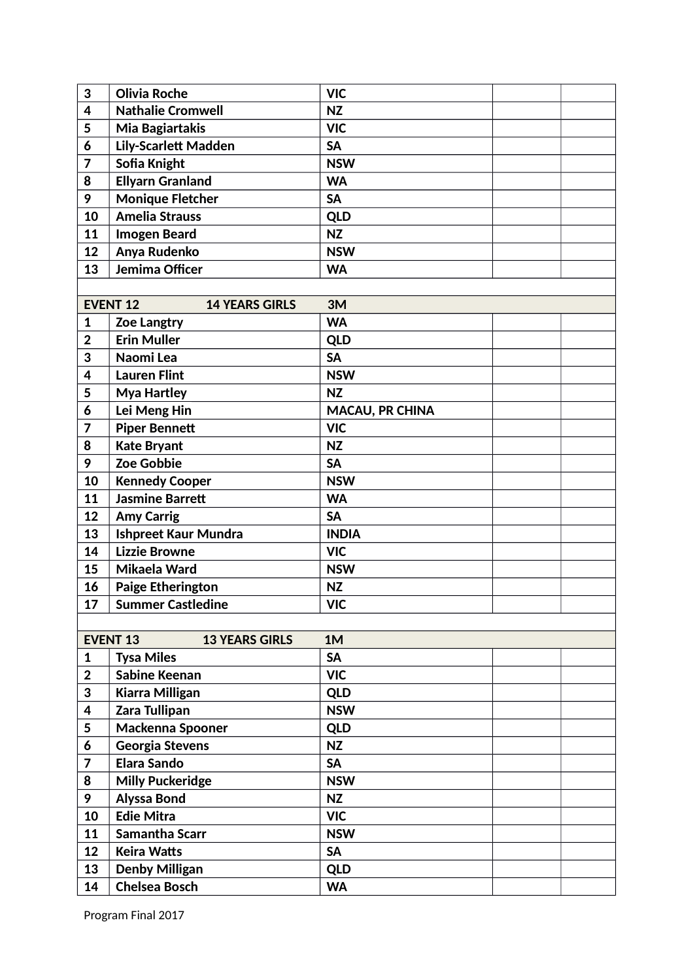| 3                       | <b>Olivia Roche</b>                      | <b>VIC</b>             |  |
|-------------------------|------------------------------------------|------------------------|--|
| $\overline{\mathbf{4}}$ | <b>Nathalie Cromwell</b>                 | <b>NZ</b>              |  |
| 5                       | Mia Bagiartakis                          | <b>VIC</b>             |  |
| 6                       | <b>Lily-Scarlett Madden</b>              | <b>SA</b>              |  |
| $\overline{7}$          | Sofia Knight                             | <b>NSW</b>             |  |
| 8                       | <b>Ellyarn Granland</b>                  | <b>WA</b>              |  |
| 9                       | <b>Monique Fletcher</b>                  | <b>SA</b>              |  |
| 10                      | <b>Amelia Strauss</b>                    | <b>QLD</b>             |  |
| 11                      | <b>Imogen Beard</b>                      | <b>NZ</b>              |  |
| 12                      | Anya Rudenko                             | <b>NSW</b>             |  |
| 13                      | Jemima Officer                           | <b>WA</b>              |  |
|                         |                                          |                        |  |
|                         | <b>EVENT 12</b><br><b>14 YEARS GIRLS</b> | 3M                     |  |
| 1                       | <b>Zoe Langtry</b>                       | <b>WA</b>              |  |
| $\overline{2}$          | <b>Erin Muller</b>                       | <b>QLD</b>             |  |
| 3                       | Naomi Lea                                | <b>SA</b>              |  |
| $\overline{\mathbf{4}}$ | <b>Lauren Flint</b>                      | <b>NSW</b>             |  |
| 5                       | <b>Mya Hartley</b>                       | <b>NZ</b>              |  |
| 6                       | Lei Meng Hin                             | <b>MACAU, PR CHINA</b> |  |
| 7                       | <b>Piper Bennett</b>                     | <b>VIC</b>             |  |
| 8                       | <b>Kate Bryant</b>                       | <b>NZ</b>              |  |
| 9                       | <b>Zoe Gobbie</b>                        | <b>SA</b>              |  |
| 10                      | <b>Kennedy Cooper</b>                    | <b>NSW</b>             |  |
| 11                      | <b>Jasmine Barrett</b>                   | <b>WA</b>              |  |
| 12                      | <b>Amy Carrig</b>                        | <b>SA</b>              |  |
| 13                      | <b>Ishpreet Kaur Mundra</b>              | <b>INDIA</b>           |  |
| 14                      | <b>Lizzie Browne</b>                     | <b>VIC</b>             |  |
| 15                      | Mikaela Ward                             | <b>NSW</b>             |  |
| 16                      | <b>Paige Etherington</b>                 | <b>NZ</b>              |  |
| 17                      | <b>Summer Castledine</b>                 | <b>VIC</b>             |  |
|                         |                                          |                        |  |
|                         | <b>EVENT 13</b><br><b>13 YEARS GIRLS</b> | 1M                     |  |
| 1                       | <b>Tysa Miles</b>                        | <b>SA</b>              |  |
| $\overline{\mathbf{2}}$ | <b>Sabine Keenan</b>                     | <b>VIC</b>             |  |
| 3                       | <b>Kiarra Milligan</b>                   | <b>QLD</b>             |  |
| 4                       | Zara Tullipan                            | <b>NSW</b>             |  |
| 5                       | Mackenna Spooner                         | <b>QLD</b>             |  |
| 6                       | Georgia Stevens                          | <b>NZ</b>              |  |
| 7                       | <b>Elara Sando</b>                       | <b>SA</b>              |  |
| 8                       | <b>Milly Puckeridge</b>                  | <b>NSW</b>             |  |
| 9                       | <b>Alyssa Bond</b>                       | <b>NZ</b>              |  |
| 10                      | <b>Edie Mitra</b>                        | <b>VIC</b>             |  |
| 11                      | Samantha Scarr                           | <b>NSW</b>             |  |
| 12                      | <b>Keira Watts</b>                       | <b>SA</b>              |  |
| 13                      | <b>Denby Milligan</b>                    | <b>QLD</b>             |  |
| 14                      | <b>Chelsea Bosch</b>                     | <b>WA</b>              |  |
|                         |                                          |                        |  |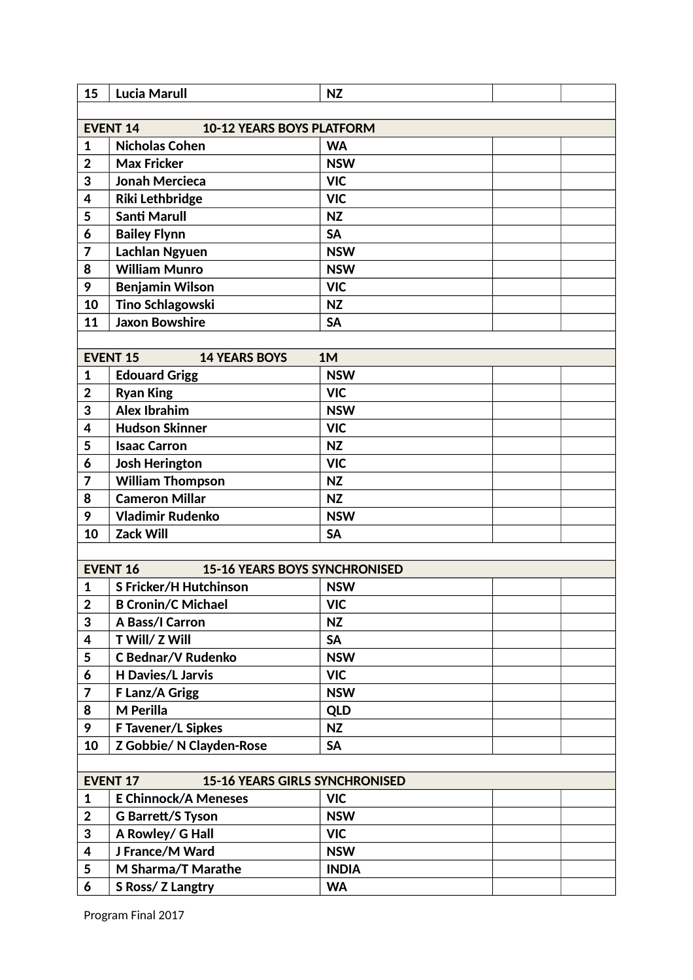| 15                      | <b>Lucia Marull</b>                                      | <b>NZ</b>    |  |
|-------------------------|----------------------------------------------------------|--------------|--|
|                         |                                                          |              |  |
|                         | <b>EVENT 14</b><br><b>10-12 YEARS BOYS PLATFORM</b>      |              |  |
| 1                       | <b>Nicholas Cohen</b>                                    | <b>WA</b>    |  |
| $\overline{2}$          | <b>Max Fricker</b>                                       | <b>NSW</b>   |  |
| 3                       | <b>Jonah Mercieca</b>                                    | <b>VIC</b>   |  |
| 4                       | Riki Lethbridge                                          | <b>VIC</b>   |  |
| 5                       | <b>Santi Marull</b>                                      | <b>NZ</b>    |  |
| 6                       | <b>Bailey Flynn</b>                                      | <b>SA</b>    |  |
| 7                       | <b>Lachlan Ngyuen</b>                                    | <b>NSW</b>   |  |
| 8                       | <b>William Munro</b>                                     | <b>NSW</b>   |  |
| 9                       | <b>Benjamin Wilson</b>                                   | <b>VIC</b>   |  |
| 10                      | <b>Tino Schlagowski</b>                                  | <b>NZ</b>    |  |
| 11                      | <b>Jaxon Bowshire</b>                                    | <b>SA</b>    |  |
|                         |                                                          |              |  |
|                         | <b>EVENT 15</b><br><b>14 YEARS BOYS</b>                  | 1M           |  |
| $\mathbf{1}$            | <b>Edouard Grigg</b>                                     | <b>NSW</b>   |  |
| $\overline{2}$          | <b>Ryan King</b>                                         | <b>VIC</b>   |  |
| 3                       | <b>Alex Ibrahim</b>                                      | <b>NSW</b>   |  |
| 4                       | <b>Hudson Skinner</b>                                    | <b>VIC</b>   |  |
| 5                       | <b>Isaac Carron</b>                                      | <b>NZ</b>    |  |
| 6                       | <b>Josh Herington</b>                                    | <b>VIC</b>   |  |
| 7                       | <b>William Thompson</b>                                  | <b>NZ</b>    |  |
| 8                       | <b>Cameron Millar</b>                                    | <b>NZ</b>    |  |
| 9                       | <b>Vladimir Rudenko</b>                                  | <b>NSW</b>   |  |
| 10                      | <b>Zack Will</b>                                         | <b>SA</b>    |  |
|                         |                                                          |              |  |
|                         | <b>EVENT 16</b><br><b>15-16 YEARS BOYS SYNCHRONISED</b>  |              |  |
| $\mathbf{1}$            | <b>S Fricker/H Hutchinson</b>                            | <b>NSW</b>   |  |
| $\overline{\mathbf{2}}$ | <b>B Cronin/C Michael</b>                                | <b>VIC</b>   |  |
| 3                       | A Bass/I Carron                                          | <b>NZ</b>    |  |
| 4                       | T Will/ Z Will                                           | <b>SA</b>    |  |
| 5                       | <b>C Bednar/V Rudenko</b>                                | <b>NSW</b>   |  |
| 6                       | <b>H Davies/L Jarvis</b>                                 | <b>VIC</b>   |  |
| $\overline{7}$          | F Lanz/A Grigg                                           | <b>NSW</b>   |  |
| 8                       | M Perilla                                                | <b>QLD</b>   |  |
| 9                       | <b>F Tavener/L Sipkes</b>                                | NZ           |  |
| 10                      | Z Gobbie/ N Clayden-Rose                                 | <b>SA</b>    |  |
|                         |                                                          |              |  |
|                         | <b>EVENT 17</b><br><b>15-16 YEARS GIRLS SYNCHRONISED</b> |              |  |
| 1                       | <b>E Chinnock/A Meneses</b>                              | <b>VIC</b>   |  |
| $\mathbf 2$             | <b>G Barrett/S Tyson</b>                                 | <b>NSW</b>   |  |
| 3                       | A Rowley/ G Hall                                         | <b>VIC</b>   |  |
| 4                       | J France/M Ward                                          | <b>NSW</b>   |  |
| 5                       | M Sharma/T Marathe                                       | <b>INDIA</b> |  |
| 6                       | S Ross/ Z Langtry                                        | <b>WA</b>    |  |
|                         |                                                          |              |  |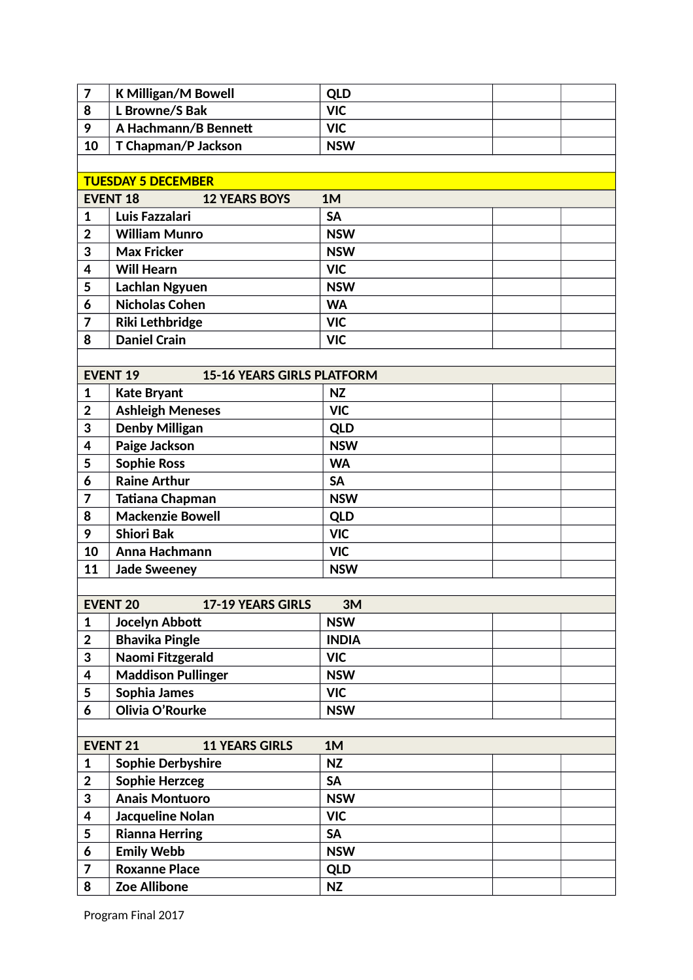| $\overline{7}$          | <b>K Milligan/M Bowell</b>                           | <b>QLD</b>   |
|-------------------------|------------------------------------------------------|--------------|
| 8                       | L Browne/S Bak                                       | <b>VIC</b>   |
| 9                       | A Hachmann/B Bennett                                 | <b>VIC</b>   |
| 10                      | T Chapman/P Jackson                                  | <b>NSW</b>   |
|                         |                                                      |              |
|                         | <b>TUESDAY 5 DECEMBER</b>                            |              |
|                         | <b>EVENT 18</b><br><b>12 YEARS BOYS</b>              | 1M           |
| 1                       | Luis Fazzalari                                       | <b>SA</b>    |
| $\overline{2}$          | <b>William Munro</b>                                 | <b>NSW</b>   |
| 3                       | <b>Max Fricker</b>                                   | <b>NSW</b>   |
| 4                       | <b>Will Hearn</b>                                    | <b>VIC</b>   |
| 5                       | Lachlan Ngyuen                                       | <b>NSW</b>   |
| 6                       | <b>Nicholas Cohen</b>                                | <b>WA</b>    |
| $\overline{7}$          | <b>Riki Lethbridge</b>                               | <b>VIC</b>   |
| 8                       | <b>Daniel Crain</b>                                  | <b>VIC</b>   |
|                         |                                                      |              |
|                         | <b>EVENT 19</b><br><b>15-16 YEARS GIRLS PLATFORM</b> |              |
| 1                       | <b>Kate Bryant</b>                                   | <b>NZ</b>    |
| $\overline{2}$          | <b>Ashleigh Meneses</b>                              | <b>VIC</b>   |
| 3                       | <b>Denby Milligan</b>                                | <b>QLD</b>   |
| 4                       | Paige Jackson                                        | <b>NSW</b>   |
| 5                       | <b>Sophie Ross</b>                                   | <b>WA</b>    |
| 6                       | <b>Raine Arthur</b>                                  | <b>SA</b>    |
| 7                       | <b>Tatiana Chapman</b>                               | <b>NSW</b>   |
| 8                       | <b>Mackenzie Bowell</b>                              | <b>QLD</b>   |
| 9                       | <b>Shiori Bak</b>                                    | <b>VIC</b>   |
| 10                      | Anna Hachmann                                        | <b>VIC</b>   |
| 11                      | <b>Jade Sweeney</b>                                  | <b>NSW</b>   |
|                         |                                                      |              |
|                         | <b>EVENT 20</b><br>17-19 YEARS GIRLS                 | 3M           |
| $\mathbf{1}$            | Jocelyn Abbott                                       | <b>NSW</b>   |
| $\mathbf 2$             | <b>Bhavika Pingle</b>                                | <b>INDIA</b> |
| 3                       | Naomi Fitzgerald                                     | <b>VIC</b>   |
| 4                       | <b>Maddison Pullinger</b>                            | <b>NSW</b>   |
| 5                       | Sophia James                                         | <b>VIC</b>   |
| 6                       | Olivia O'Rourke                                      | <b>NSW</b>   |
|                         |                                                      |              |
|                         | <b>EVENT 21</b><br><b>11 YEARS GIRLS</b>             | 1M           |
| $\mathbf{1}$            | <b>Sophie Derbyshire</b>                             | <b>NZ</b>    |
| $\mathbf{2}$            | <b>Sophie Herzceg</b>                                | <b>SA</b>    |
| 3                       | <b>Anais Montuoro</b>                                | <b>NSW</b>   |
| $\overline{\mathbf{4}}$ | Jacqueline Nolan                                     | <b>VIC</b>   |
| 5                       | <b>Rianna Herring</b>                                | <b>SA</b>    |
| 6                       | <b>Emily Webb</b>                                    | <b>NSW</b>   |
| $\overline{7}$          | <b>Roxanne Place</b>                                 | <b>QLD</b>   |
| 8                       | <b>Zoe Allibone</b>                                  | <b>NZ</b>    |
|                         |                                                      |              |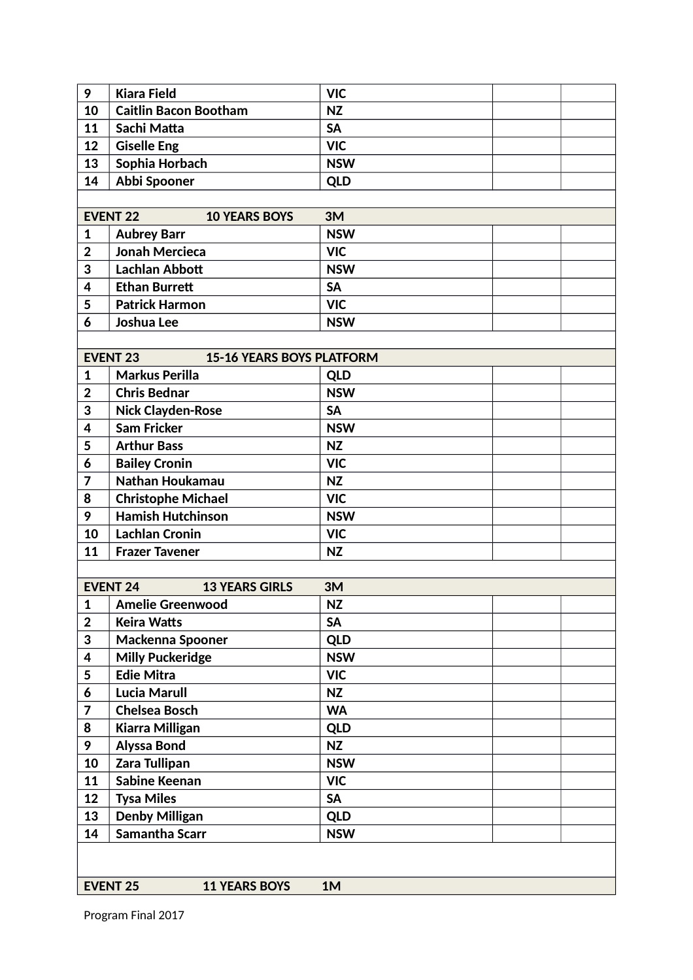| 9              | <b>Kiara Field</b>                                  | <b>VIC</b> |  |
|----------------|-----------------------------------------------------|------------|--|
| 10             | <b>Caitlin Bacon Bootham</b>                        | <b>NZ</b>  |  |
| 11             | Sachi Matta                                         | <b>SA</b>  |  |
| 12             | <b>Giselle Eng</b>                                  | <b>VIC</b> |  |
| 13             | Sophia Horbach                                      | <b>NSW</b> |  |
| 14             | Abbi Spooner                                        | <b>QLD</b> |  |
|                |                                                     |            |  |
|                | <b>EVENT 22</b><br><b>10 YEARS BOYS</b>             | 3M         |  |
| $\mathbf{1}$   | <b>Aubrey Barr</b>                                  | <b>NSW</b> |  |
| $\overline{2}$ | <b>Jonah Mercieca</b>                               | <b>VIC</b> |  |
| 3              | <b>Lachlan Abbott</b>                               | <b>NSW</b> |  |
| 4              | <b>Ethan Burrett</b>                                | <b>SA</b>  |  |
| 5              | <b>Patrick Harmon</b>                               | <b>VIC</b> |  |
| 6              | Joshua Lee                                          | <b>NSW</b> |  |
|                |                                                     |            |  |
|                | <b>EVENT 23</b><br><b>15-16 YEARS BOYS PLATFORM</b> |            |  |
| $\mathbf{1}$   | <b>Markus Perilla</b>                               | <b>QLD</b> |  |
| $\overline{2}$ | <b>Chris Bednar</b>                                 | <b>NSW</b> |  |
| 3              | <b>Nick Clayden-Rose</b>                            | <b>SA</b>  |  |
| 4              | <b>Sam Fricker</b>                                  | <b>NSW</b> |  |
| 5              | <b>Arthur Bass</b>                                  | <b>NZ</b>  |  |
| 6              | <b>Bailey Cronin</b>                                | <b>VIC</b> |  |
| 7              | Nathan Houkamau                                     | <b>NZ</b>  |  |
| 8              | <b>Christophe Michael</b>                           | <b>VIC</b> |  |
| 9              | <b>Hamish Hutchinson</b>                            | <b>NSW</b> |  |
| 10             | <b>Lachlan Cronin</b>                               | <b>VIC</b> |  |
| 11             | <b>Frazer Tavener</b>                               | <b>NZ</b>  |  |
|                |                                                     |            |  |
|                | <b>EVENT 24</b><br><b>13 YEARS GIRLS</b>            | 3M         |  |
| $\mathbf 1$    | <b>Amelie Greenwood</b>                             | <b>NZ</b>  |  |
| $\overline{2}$ | <b>Keira Watts</b>                                  | <b>SA</b>  |  |
| 3              | <b>Mackenna Spooner</b>                             | <b>QLD</b> |  |
| 4              | <b>Milly Puckeridge</b>                             | <b>NSW</b> |  |
| 5              | <b>Edie Mitra</b>                                   | <b>VIC</b> |  |
| 6              | <b>Lucia Marull</b>                                 | <b>NZ</b>  |  |
| 7              | <b>Chelsea Bosch</b>                                | <b>WA</b>  |  |
| 8              | Kiarra Milligan                                     | <b>QLD</b> |  |
| 9              | <b>Alyssa Bond</b>                                  | <b>NZ</b>  |  |
| 10             | Zara Tullipan                                       | <b>NSW</b> |  |
| 11             | <b>Sabine Keenan</b>                                | <b>VIC</b> |  |
| 12             | <b>Tysa Miles</b>                                   | <b>SA</b>  |  |
| 13             | <b>Denby Milligan</b>                               | <b>QLD</b> |  |
| 14             | Samantha Scarr                                      | <b>NSW</b> |  |
|                |                                                     |            |  |
|                |                                                     |            |  |
|                | <b>EVENT 25</b><br><b>11 YEARS BOYS</b>             | 1M         |  |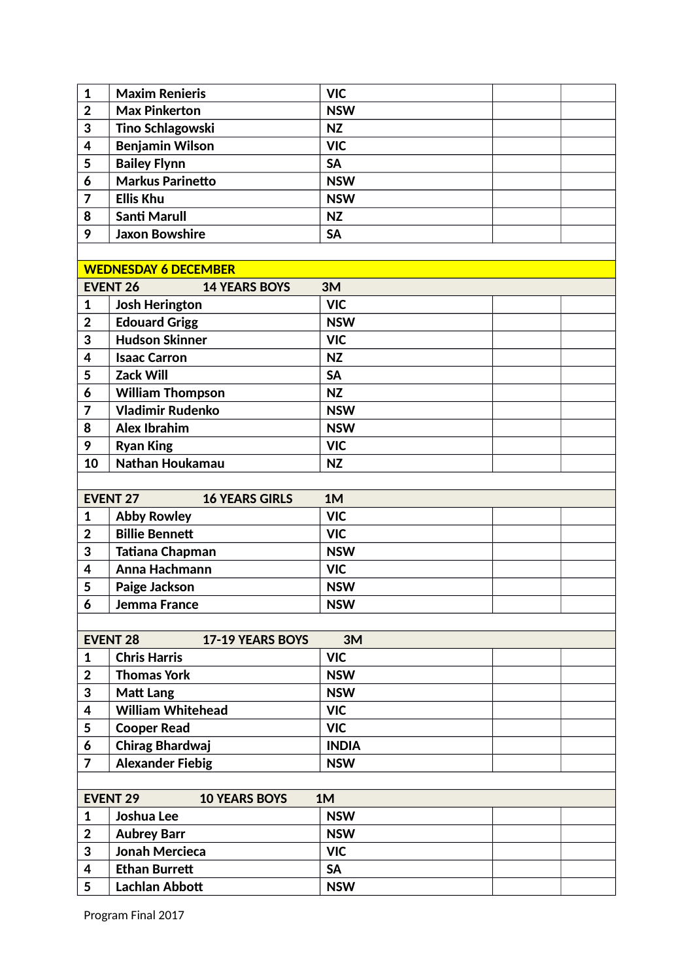| <b>VIC</b><br><b>Maxim Renieris</b><br>$\mathbf{1}$<br>$\overline{2}$<br><b>Max Pinkerton</b><br><b>NSW</b><br>3<br><b>Tino Schlagowski</b><br><b>NZ</b><br><b>Benjamin Wilson</b><br>4<br><b>VIC</b><br>5<br><b>Bailey Flynn</b><br><b>SA</b><br><b>Markus Parinetto</b><br>6<br><b>NSW</b><br><b>Ellis Khu</b><br>7<br><b>NSW</b><br><b>Santi Marull</b><br>8<br><b>NZ</b><br>9<br><b>Jaxon Bowshire</b><br><b>SA</b><br><b>WEDNESDAY 6 DECEMBER</b><br><b>EVENT 26</b><br>3M<br><b>14 YEARS BOYS</b><br><b>VIC</b><br><b>Josh Herington</b><br>1<br><b>Edouard Grigg</b><br>$\overline{2}$<br><b>NSW</b><br><b>Hudson Skinner</b><br>3<br><b>VIC</b><br>4<br><b>Isaac Carron</b><br><b>NZ</b><br><b>Zack Will</b><br>5<br><b>SA</b><br>6<br><b>William Thompson</b><br><b>NZ</b><br><b>Vladimir Rudenko</b><br><b>NSW</b><br>7<br><b>Alex Ibrahim</b><br>8<br><b>NSW</b><br>9<br><b>Ryan King</b><br><b>VIC</b><br>Nathan Houkamau<br>10<br><b>NZ</b><br><b>EVENT 27</b><br>1M<br><b>16 YEARS GIRLS</b><br><b>VIC</b><br><b>Abby Rowley</b><br>1<br><b>Billie Bennett</b><br><b>VIC</b><br>$\overline{2}$<br><b>Tatiana Chapman</b><br>3<br><b>NSW</b><br>Anna Hachmann<br><b>VIC</b><br>4<br>5<br>Paige Jackson<br><b>NSW</b> |  |   |                    |            |  |
|-----------------------------------------------------------------------------------------------------------------------------------------------------------------------------------------------------------------------------------------------------------------------------------------------------------------------------------------------------------------------------------------------------------------------------------------------------------------------------------------------------------------------------------------------------------------------------------------------------------------------------------------------------------------------------------------------------------------------------------------------------------------------------------------------------------------------------------------------------------------------------------------------------------------------------------------------------------------------------------------------------------------------------------------------------------------------------------------------------------------------------------------------------------------------------------------------------------------------------------|--|---|--------------------|------------|--|
|                                                                                                                                                                                                                                                                                                                                                                                                                                                                                                                                                                                                                                                                                                                                                                                                                                                                                                                                                                                                                                                                                                                                                                                                                                   |  |   |                    |            |  |
|                                                                                                                                                                                                                                                                                                                                                                                                                                                                                                                                                                                                                                                                                                                                                                                                                                                                                                                                                                                                                                                                                                                                                                                                                                   |  |   |                    |            |  |
|                                                                                                                                                                                                                                                                                                                                                                                                                                                                                                                                                                                                                                                                                                                                                                                                                                                                                                                                                                                                                                                                                                                                                                                                                                   |  |   |                    |            |  |
|                                                                                                                                                                                                                                                                                                                                                                                                                                                                                                                                                                                                                                                                                                                                                                                                                                                                                                                                                                                                                                                                                                                                                                                                                                   |  |   |                    |            |  |
|                                                                                                                                                                                                                                                                                                                                                                                                                                                                                                                                                                                                                                                                                                                                                                                                                                                                                                                                                                                                                                                                                                                                                                                                                                   |  |   |                    |            |  |
|                                                                                                                                                                                                                                                                                                                                                                                                                                                                                                                                                                                                                                                                                                                                                                                                                                                                                                                                                                                                                                                                                                                                                                                                                                   |  |   |                    |            |  |
|                                                                                                                                                                                                                                                                                                                                                                                                                                                                                                                                                                                                                                                                                                                                                                                                                                                                                                                                                                                                                                                                                                                                                                                                                                   |  |   |                    |            |  |
|                                                                                                                                                                                                                                                                                                                                                                                                                                                                                                                                                                                                                                                                                                                                                                                                                                                                                                                                                                                                                                                                                                                                                                                                                                   |  |   |                    |            |  |
|                                                                                                                                                                                                                                                                                                                                                                                                                                                                                                                                                                                                                                                                                                                                                                                                                                                                                                                                                                                                                                                                                                                                                                                                                                   |  |   |                    |            |  |
|                                                                                                                                                                                                                                                                                                                                                                                                                                                                                                                                                                                                                                                                                                                                                                                                                                                                                                                                                                                                                                                                                                                                                                                                                                   |  |   |                    |            |  |
|                                                                                                                                                                                                                                                                                                                                                                                                                                                                                                                                                                                                                                                                                                                                                                                                                                                                                                                                                                                                                                                                                                                                                                                                                                   |  |   |                    |            |  |
|                                                                                                                                                                                                                                                                                                                                                                                                                                                                                                                                                                                                                                                                                                                                                                                                                                                                                                                                                                                                                                                                                                                                                                                                                                   |  |   |                    |            |  |
|                                                                                                                                                                                                                                                                                                                                                                                                                                                                                                                                                                                                                                                                                                                                                                                                                                                                                                                                                                                                                                                                                                                                                                                                                                   |  |   |                    |            |  |
|                                                                                                                                                                                                                                                                                                                                                                                                                                                                                                                                                                                                                                                                                                                                                                                                                                                                                                                                                                                                                                                                                                                                                                                                                                   |  |   |                    |            |  |
|                                                                                                                                                                                                                                                                                                                                                                                                                                                                                                                                                                                                                                                                                                                                                                                                                                                                                                                                                                                                                                                                                                                                                                                                                                   |  |   |                    |            |  |
|                                                                                                                                                                                                                                                                                                                                                                                                                                                                                                                                                                                                                                                                                                                                                                                                                                                                                                                                                                                                                                                                                                                                                                                                                                   |  |   |                    |            |  |
|                                                                                                                                                                                                                                                                                                                                                                                                                                                                                                                                                                                                                                                                                                                                                                                                                                                                                                                                                                                                                                                                                                                                                                                                                                   |  |   |                    |            |  |
|                                                                                                                                                                                                                                                                                                                                                                                                                                                                                                                                                                                                                                                                                                                                                                                                                                                                                                                                                                                                                                                                                                                                                                                                                                   |  |   |                    |            |  |
|                                                                                                                                                                                                                                                                                                                                                                                                                                                                                                                                                                                                                                                                                                                                                                                                                                                                                                                                                                                                                                                                                                                                                                                                                                   |  |   |                    |            |  |
|                                                                                                                                                                                                                                                                                                                                                                                                                                                                                                                                                                                                                                                                                                                                                                                                                                                                                                                                                                                                                                                                                                                                                                                                                                   |  |   |                    |            |  |
|                                                                                                                                                                                                                                                                                                                                                                                                                                                                                                                                                                                                                                                                                                                                                                                                                                                                                                                                                                                                                                                                                                                                                                                                                                   |  |   |                    |            |  |
|                                                                                                                                                                                                                                                                                                                                                                                                                                                                                                                                                                                                                                                                                                                                                                                                                                                                                                                                                                                                                                                                                                                                                                                                                                   |  |   |                    |            |  |
|                                                                                                                                                                                                                                                                                                                                                                                                                                                                                                                                                                                                                                                                                                                                                                                                                                                                                                                                                                                                                                                                                                                                                                                                                                   |  |   |                    |            |  |
|                                                                                                                                                                                                                                                                                                                                                                                                                                                                                                                                                                                                                                                                                                                                                                                                                                                                                                                                                                                                                                                                                                                                                                                                                                   |  |   |                    |            |  |
|                                                                                                                                                                                                                                                                                                                                                                                                                                                                                                                                                                                                                                                                                                                                                                                                                                                                                                                                                                                                                                                                                                                                                                                                                                   |  |   |                    |            |  |
|                                                                                                                                                                                                                                                                                                                                                                                                                                                                                                                                                                                                                                                                                                                                                                                                                                                                                                                                                                                                                                                                                                                                                                                                                                   |  |   |                    |            |  |
|                                                                                                                                                                                                                                                                                                                                                                                                                                                                                                                                                                                                                                                                                                                                                                                                                                                                                                                                                                                                                                                                                                                                                                                                                                   |  |   |                    |            |  |
|                                                                                                                                                                                                                                                                                                                                                                                                                                                                                                                                                                                                                                                                                                                                                                                                                                                                                                                                                                                                                                                                                                                                                                                                                                   |  |   |                    |            |  |
|                                                                                                                                                                                                                                                                                                                                                                                                                                                                                                                                                                                                                                                                                                                                                                                                                                                                                                                                                                                                                                                                                                                                                                                                                                   |  |   |                    |            |  |
|                                                                                                                                                                                                                                                                                                                                                                                                                                                                                                                                                                                                                                                                                                                                                                                                                                                                                                                                                                                                                                                                                                                                                                                                                                   |  | 6 | Jemma France       | <b>NSW</b> |  |
|                                                                                                                                                                                                                                                                                                                                                                                                                                                                                                                                                                                                                                                                                                                                                                                                                                                                                                                                                                                                                                                                                                                                                                                                                                   |  |   |                    |            |  |
| <b>EVENT 28</b><br>3M<br>17-19 YEARS BOYS                                                                                                                                                                                                                                                                                                                                                                                                                                                                                                                                                                                                                                                                                                                                                                                                                                                                                                                                                                                                                                                                                                                                                                                         |  |   |                    |            |  |
| <b>Chris Harris</b><br><b>VIC</b><br>$\mathbf{1}$                                                                                                                                                                                                                                                                                                                                                                                                                                                                                                                                                                                                                                                                                                                                                                                                                                                                                                                                                                                                                                                                                                                                                                                 |  |   |                    |            |  |
| <b>Thomas York</b><br>$\overline{2}$<br><b>NSW</b>                                                                                                                                                                                                                                                                                                                                                                                                                                                                                                                                                                                                                                                                                                                                                                                                                                                                                                                                                                                                                                                                                                                                                                                |  |   |                    |            |  |
| 3<br><b>NSW</b><br><b>Matt Lang</b>                                                                                                                                                                                                                                                                                                                                                                                                                                                                                                                                                                                                                                                                                                                                                                                                                                                                                                                                                                                                                                                                                                                                                                                               |  |   |                    |            |  |
| <b>William Whitehead</b><br><b>VIC</b><br>4                                                                                                                                                                                                                                                                                                                                                                                                                                                                                                                                                                                                                                                                                                                                                                                                                                                                                                                                                                                                                                                                                                                                                                                       |  |   |                    |            |  |
|                                                                                                                                                                                                                                                                                                                                                                                                                                                                                                                                                                                                                                                                                                                                                                                                                                                                                                                                                                                                                                                                                                                                                                                                                                   |  | 5 | <b>Cooper Read</b> | <b>VIC</b> |  |
|                                                                                                                                                                                                                                                                                                                                                                                                                                                                                                                                                                                                                                                                                                                                                                                                                                                                                                                                                                                                                                                                                                                                                                                                                                   |  |   |                    |            |  |
| <b>Chirag Bhardwaj</b><br>6<br><b>INDIA</b>                                                                                                                                                                                                                                                                                                                                                                                                                                                                                                                                                                                                                                                                                                                                                                                                                                                                                                                                                                                                                                                                                                                                                                                       |  |   |                    |            |  |
| <b>Alexander Fiebig</b><br>7<br><b>NSW</b>                                                                                                                                                                                                                                                                                                                                                                                                                                                                                                                                                                                                                                                                                                                                                                                                                                                                                                                                                                                                                                                                                                                                                                                        |  |   |                    |            |  |
|                                                                                                                                                                                                                                                                                                                                                                                                                                                                                                                                                                                                                                                                                                                                                                                                                                                                                                                                                                                                                                                                                                                                                                                                                                   |  |   |                    |            |  |
| <b>EVENT 29</b><br>1M<br><b>10 YEARS BOYS</b>                                                                                                                                                                                                                                                                                                                                                                                                                                                                                                                                                                                                                                                                                                                                                                                                                                                                                                                                                                                                                                                                                                                                                                                     |  |   |                    |            |  |
| <b>NSW</b><br>Joshua Lee<br>$\mathbf{1}$                                                                                                                                                                                                                                                                                                                                                                                                                                                                                                                                                                                                                                                                                                                                                                                                                                                                                                                                                                                                                                                                                                                                                                                          |  |   |                    |            |  |
| $\overline{2}$<br><b>Aubrey Barr</b><br><b>NSW</b>                                                                                                                                                                                                                                                                                                                                                                                                                                                                                                                                                                                                                                                                                                                                                                                                                                                                                                                                                                                                                                                                                                                                                                                |  |   |                    |            |  |
| <b>Jonah Mercieca</b><br>3<br><b>VIC</b>                                                                                                                                                                                                                                                                                                                                                                                                                                                                                                                                                                                                                                                                                                                                                                                                                                                                                                                                                                                                                                                                                                                                                                                          |  |   |                    |            |  |
| <b>Ethan Burrett</b><br><b>SA</b><br>4                                                                                                                                                                                                                                                                                                                                                                                                                                                                                                                                                                                                                                                                                                                                                                                                                                                                                                                                                                                                                                                                                                                                                                                            |  |   |                    |            |  |
|                                                                                                                                                                                                                                                                                                                                                                                                                                                                                                                                                                                                                                                                                                                                                                                                                                                                                                                                                                                                                                                                                                                                                                                                                                   |  |   |                    |            |  |
|                                                                                                                                                                                                                                                                                                                                                                                                                                                                                                                                                                                                                                                                                                                                                                                                                                                                                                                                                                                                                                                                                                                                                                                                                                   |  |   |                    |            |  |
|                                                                                                                                                                                                                                                                                                                                                                                                                                                                                                                                                                                                                                                                                                                                                                                                                                                                                                                                                                                                                                                                                                                                                                                                                                   |  |   |                    |            |  |
|                                                                                                                                                                                                                                                                                                                                                                                                                                                                                                                                                                                                                                                                                                                                                                                                                                                                                                                                                                                                                                                                                                                                                                                                                                   |  |   |                    |            |  |
|                                                                                                                                                                                                                                                                                                                                                                                                                                                                                                                                                                                                                                                                                                                                                                                                                                                                                                                                                                                                                                                                                                                                                                                                                                   |  |   |                    |            |  |
|                                                                                                                                                                                                                                                                                                                                                                                                                                                                                                                                                                                                                                                                                                                                                                                                                                                                                                                                                                                                                                                                                                                                                                                                                                   |  |   |                    |            |  |
|                                                                                                                                                                                                                                                                                                                                                                                                                                                                                                                                                                                                                                                                                                                                                                                                                                                                                                                                                                                                                                                                                                                                                                                                                                   |  |   |                    |            |  |
|                                                                                                                                                                                                                                                                                                                                                                                                                                                                                                                                                                                                                                                                                                                                                                                                                                                                                                                                                                                                                                                                                                                                                                                                                                   |  |   |                    |            |  |
|                                                                                                                                                                                                                                                                                                                                                                                                                                                                                                                                                                                                                                                                                                                                                                                                                                                                                                                                                                                                                                                                                                                                                                                                                                   |  |   |                    |            |  |
|                                                                                                                                                                                                                                                                                                                                                                                                                                                                                                                                                                                                                                                                                                                                                                                                                                                                                                                                                                                                                                                                                                                                                                                                                                   |  |   |                    |            |  |
|                                                                                                                                                                                                                                                                                                                                                                                                                                                                                                                                                                                                                                                                                                                                                                                                                                                                                                                                                                                                                                                                                                                                                                                                                                   |  |   |                    |            |  |
|                                                                                                                                                                                                                                                                                                                                                                                                                                                                                                                                                                                                                                                                                                                                                                                                                                                                                                                                                                                                                                                                                                                                                                                                                                   |  |   |                    |            |  |
|                                                                                                                                                                                                                                                                                                                                                                                                                                                                                                                                                                                                                                                                                                                                                                                                                                                                                                                                                                                                                                                                                                                                                                                                                                   |  |   |                    |            |  |
|                                                                                                                                                                                                                                                                                                                                                                                                                                                                                                                                                                                                                                                                                                                                                                                                                                                                                                                                                                                                                                                                                                                                                                                                                                   |  |   |                    |            |  |
|                                                                                                                                                                                                                                                                                                                                                                                                                                                                                                                                                                                                                                                                                                                                                                                                                                                                                                                                                                                                                                                                                                                                                                                                                                   |  |   |                    |            |  |
|                                                                                                                                                                                                                                                                                                                                                                                                                                                                                                                                                                                                                                                                                                                                                                                                                                                                                                                                                                                                                                                                                                                                                                                                                                   |  |   |                    |            |  |
|                                                                                                                                                                                                                                                                                                                                                                                                                                                                                                                                                                                                                                                                                                                                                                                                                                                                                                                                                                                                                                                                                                                                                                                                                                   |  |   |                    |            |  |
|                                                                                                                                                                                                                                                                                                                                                                                                                                                                                                                                                                                                                                                                                                                                                                                                                                                                                                                                                                                                                                                                                                                                                                                                                                   |  |   |                    |            |  |
|                                                                                                                                                                                                                                                                                                                                                                                                                                                                                                                                                                                                                                                                                                                                                                                                                                                                                                                                                                                                                                                                                                                                                                                                                                   |  |   |                    |            |  |
|                                                                                                                                                                                                                                                                                                                                                                                                                                                                                                                                                                                                                                                                                                                                                                                                                                                                                                                                                                                                                                                                                                                                                                                                                                   |  |   |                    |            |  |
|                                                                                                                                                                                                                                                                                                                                                                                                                                                                                                                                                                                                                                                                                                                                                                                                                                                                                                                                                                                                                                                                                                                                                                                                                                   |  |   |                    |            |  |
|                                                                                                                                                                                                                                                                                                                                                                                                                                                                                                                                                                                                                                                                                                                                                                                                                                                                                                                                                                                                                                                                                                                                                                                                                                   |  |   |                    |            |  |
|                                                                                                                                                                                                                                                                                                                                                                                                                                                                                                                                                                                                                                                                                                                                                                                                                                                                                                                                                                                                                                                                                                                                                                                                                                   |  |   |                    |            |  |
|                                                                                                                                                                                                                                                                                                                                                                                                                                                                                                                                                                                                                                                                                                                                                                                                                                                                                                                                                                                                                                                                                                                                                                                                                                   |  |   |                    |            |  |
|                                                                                                                                                                                                                                                                                                                                                                                                                                                                                                                                                                                                                                                                                                                                                                                                                                                                                                                                                                                                                                                                                                                                                                                                                                   |  |   |                    |            |  |
|                                                                                                                                                                                                                                                                                                                                                                                                                                                                                                                                                                                                                                                                                                                                                                                                                                                                                                                                                                                                                                                                                                                                                                                                                                   |  |   |                    |            |  |
|                                                                                                                                                                                                                                                                                                                                                                                                                                                                                                                                                                                                                                                                                                                                                                                                                                                                                                                                                                                                                                                                                                                                                                                                                                   |  |   |                    |            |  |
|                                                                                                                                                                                                                                                                                                                                                                                                                                                                                                                                                                                                                                                                                                                                                                                                                                                                                                                                                                                                                                                                                                                                                                                                                                   |  |   |                    |            |  |
|                                                                                                                                                                                                                                                                                                                                                                                                                                                                                                                                                                                                                                                                                                                                                                                                                                                                                                                                                                                                                                                                                                                                                                                                                                   |  |   |                    |            |  |
|                                                                                                                                                                                                                                                                                                                                                                                                                                                                                                                                                                                                                                                                                                                                                                                                                                                                                                                                                                                                                                                                                                                                                                                                                                   |  |   |                    |            |  |
|                                                                                                                                                                                                                                                                                                                                                                                                                                                                                                                                                                                                                                                                                                                                                                                                                                                                                                                                                                                                                                                                                                                                                                                                                                   |  |   |                    |            |  |
|                                                                                                                                                                                                                                                                                                                                                                                                                                                                                                                                                                                                                                                                                                                                                                                                                                                                                                                                                                                                                                                                                                                                                                                                                                   |  |   |                    |            |  |
|                                                                                                                                                                                                                                                                                                                                                                                                                                                                                                                                                                                                                                                                                                                                                                                                                                                                                                                                                                                                                                                                                                                                                                                                                                   |  |   |                    |            |  |
|                                                                                                                                                                                                                                                                                                                                                                                                                                                                                                                                                                                                                                                                                                                                                                                                                                                                                                                                                                                                                                                                                                                                                                                                                                   |  |   |                    |            |  |
|                                                                                                                                                                                                                                                                                                                                                                                                                                                                                                                                                                                                                                                                                                                                                                                                                                                                                                                                                                                                                                                                                                                                                                                                                                   |  |   |                    |            |  |
|                                                                                                                                                                                                                                                                                                                                                                                                                                                                                                                                                                                                                                                                                                                                                                                                                                                                                                                                                                                                                                                                                                                                                                                                                                   |  |   |                    |            |  |
|                                                                                                                                                                                                                                                                                                                                                                                                                                                                                                                                                                                                                                                                                                                                                                                                                                                                                                                                                                                                                                                                                                                                                                                                                                   |  |   |                    |            |  |
|                                                                                                                                                                                                                                                                                                                                                                                                                                                                                                                                                                                                                                                                                                                                                                                                                                                                                                                                                                                                                                                                                                                                                                                                                                   |  |   |                    |            |  |
|                                                                                                                                                                                                                                                                                                                                                                                                                                                                                                                                                                                                                                                                                                                                                                                                                                                                                                                                                                                                                                                                                                                                                                                                                                   |  |   |                    |            |  |
|                                                                                                                                                                                                                                                                                                                                                                                                                                                                                                                                                                                                                                                                                                                                                                                                                                                                                                                                                                                                                                                                                                                                                                                                                                   |  |   |                    |            |  |
|                                                                                                                                                                                                                                                                                                                                                                                                                                                                                                                                                                                                                                                                                                                                                                                                                                                                                                                                                                                                                                                                                                                                                                                                                                   |  |   |                    |            |  |
|                                                                                                                                                                                                                                                                                                                                                                                                                                                                                                                                                                                                                                                                                                                                                                                                                                                                                                                                                                                                                                                                                                                                                                                                                                   |  |   |                    |            |  |
|                                                                                                                                                                                                                                                                                                                                                                                                                                                                                                                                                                                                                                                                                                                                                                                                                                                                                                                                                                                                                                                                                                                                                                                                                                   |  |   |                    |            |  |
|                                                                                                                                                                                                                                                                                                                                                                                                                                                                                                                                                                                                                                                                                                                                                                                                                                                                                                                                                                                                                                                                                                                                                                                                                                   |  |   |                    |            |  |
|                                                                                                                                                                                                                                                                                                                                                                                                                                                                                                                                                                                                                                                                                                                                                                                                                                                                                                                                                                                                                                                                                                                                                                                                                                   |  |   |                    |            |  |
|                                                                                                                                                                                                                                                                                                                                                                                                                                                                                                                                                                                                                                                                                                                                                                                                                                                                                                                                                                                                                                                                                                                                                                                                                                   |  |   |                    |            |  |
|                                                                                                                                                                                                                                                                                                                                                                                                                                                                                                                                                                                                                                                                                                                                                                                                                                                                                                                                                                                                                                                                                                                                                                                                                                   |  |   |                    |            |  |
|                                                                                                                                                                                                                                                                                                                                                                                                                                                                                                                                                                                                                                                                                                                                                                                                                                                                                                                                                                                                                                                                                                                                                                                                                                   |  |   |                    |            |  |
|                                                                                                                                                                                                                                                                                                                                                                                                                                                                                                                                                                                                                                                                                                                                                                                                                                                                                                                                                                                                                                                                                                                                                                                                                                   |  |   |                    |            |  |
|                                                                                                                                                                                                                                                                                                                                                                                                                                                                                                                                                                                                                                                                                                                                                                                                                                                                                                                                                                                                                                                                                                                                                                                                                                   |  |   |                    |            |  |
|                                                                                                                                                                                                                                                                                                                                                                                                                                                                                                                                                                                                                                                                                                                                                                                                                                                                                                                                                                                                                                                                                                                                                                                                                                   |  |   |                    |            |  |
|                                                                                                                                                                                                                                                                                                                                                                                                                                                                                                                                                                                                                                                                                                                                                                                                                                                                                                                                                                                                                                                                                                                                                                                                                                   |  |   |                    |            |  |
|                                                                                                                                                                                                                                                                                                                                                                                                                                                                                                                                                                                                                                                                                                                                                                                                                                                                                                                                                                                                                                                                                                                                                                                                                                   |  |   |                    |            |  |
|                                                                                                                                                                                                                                                                                                                                                                                                                                                                                                                                                                                                                                                                                                                                                                                                                                                                                                                                                                                                                                                                                                                                                                                                                                   |  |   |                    |            |  |
|                                                                                                                                                                                                                                                                                                                                                                                                                                                                                                                                                                                                                                                                                                                                                                                                                                                                                                                                                                                                                                                                                                                                                                                                                                   |  |   |                    |            |  |
| <b>Lachlan Abbott</b><br>5<br><b>NSW</b>                                                                                                                                                                                                                                                                                                                                                                                                                                                                                                                                                                                                                                                                                                                                                                                                                                                                                                                                                                                                                                                                                                                                                                                          |  |   |                    |            |  |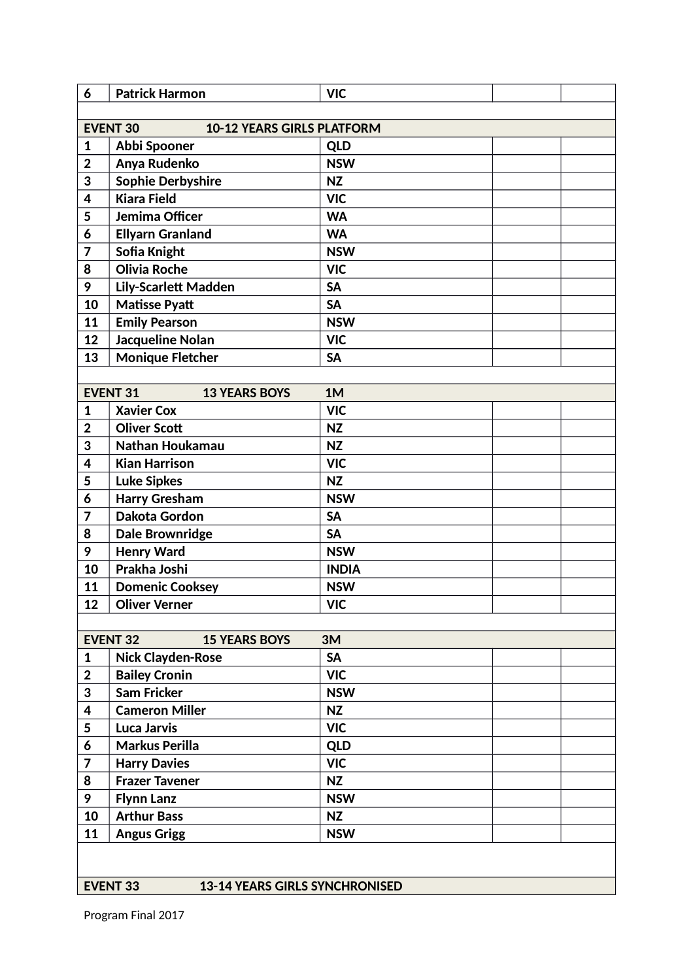| 6                       | <b>Patrick Harmon</b>                                    | <b>VIC</b>   |  |
|-------------------------|----------------------------------------------------------|--------------|--|
|                         |                                                          |              |  |
|                         | <b>EVENT 30</b><br><b>10-12 YEARS GIRLS PLATFORM</b>     |              |  |
| 1                       | Abbi Spooner                                             | <b>QLD</b>   |  |
| $\overline{2}$          | Anya Rudenko                                             | <b>NSW</b>   |  |
| 3                       | <b>Sophie Derbyshire</b>                                 | <b>NZ</b>    |  |
| 4                       | <b>Kiara Field</b>                                       | <b>VIC</b>   |  |
| 5                       | Jemima Officer                                           | <b>WA</b>    |  |
| 6                       | <b>Ellyarn Granland</b>                                  | <b>WA</b>    |  |
| $\overline{7}$          | Sofia Knight                                             | <b>NSW</b>   |  |
| 8                       | <b>Olivia Roche</b>                                      | <b>VIC</b>   |  |
| 9                       | <b>Lily-Scarlett Madden</b>                              | <b>SA</b>    |  |
| 10                      | <b>Matisse Pyatt</b>                                     | <b>SA</b>    |  |
| 11                      | <b>Emily Pearson</b>                                     | <b>NSW</b>   |  |
| 12                      | <b>Jacqueline Nolan</b>                                  | <b>VIC</b>   |  |
| 13                      | <b>Monique Fletcher</b>                                  | <b>SA</b>    |  |
|                         |                                                          |              |  |
|                         | <b>EVENT 31</b><br><b>13 YEARS BOYS</b>                  | 1M           |  |
| 1                       | <b>Xavier Cox</b>                                        | <b>VIC</b>   |  |
| $\overline{2}$          | <b>Oliver Scott</b>                                      | <b>NZ</b>    |  |
| 3                       | Nathan Houkamau                                          | <b>NZ</b>    |  |
| 4                       | <b>Kian Harrison</b>                                     | <b>VIC</b>   |  |
| 5                       | <b>Luke Sipkes</b>                                       | <b>NZ</b>    |  |
| 6                       | <b>Harry Gresham</b>                                     | <b>NSW</b>   |  |
| 7                       | Dakota Gordon                                            | <b>SA</b>    |  |
| 8                       | <b>Dale Brownridge</b>                                   | <b>SA</b>    |  |
| 9                       | <b>Henry Ward</b>                                        | <b>NSW</b>   |  |
| 10                      | Prakha Joshi                                             | <b>INDIA</b> |  |
|                         | <b>Domenic Cooksey</b>                                   |              |  |
| 11                      |                                                          | <b>NSW</b>   |  |
| 12                      | <b>Oliver Verner</b>                                     | <b>VIC</b>   |  |
|                         |                                                          |              |  |
|                         | <b>EVENT 32</b><br><b>15 YEARS BOYS</b>                  | 3M           |  |
| 1                       | <b>Nick Clayden-Rose</b>                                 | <b>SA</b>    |  |
| $\mathbf{2}$            | <b>Bailey Cronin</b>                                     | <b>VIC</b>   |  |
| 3                       | <b>Sam Fricker</b>                                       | <b>NSW</b>   |  |
| $\overline{\mathbf{4}}$ | <b>Cameron Miller</b>                                    | <b>NZ</b>    |  |
| 5                       | <b>Luca Jarvis</b>                                       | <b>VIC</b>   |  |
| 6                       | <b>Markus Perilla</b>                                    | <b>QLD</b>   |  |
| 7                       | <b>Harry Davies</b>                                      | <b>VIC</b>   |  |
| 8                       | <b>Frazer Tavener</b>                                    | <b>NZ</b>    |  |
| 9                       | <b>Flynn Lanz</b>                                        | <b>NSW</b>   |  |
| 10                      | <b>Arthur Bass</b>                                       | <b>NZ</b>    |  |
| 11                      | <b>Angus Grigg</b>                                       | <b>NSW</b>   |  |
|                         |                                                          |              |  |
|                         |                                                          |              |  |
|                         | <b>EVENT 33</b><br><b>13-14 YEARS GIRLS SYNCHRONISED</b> |              |  |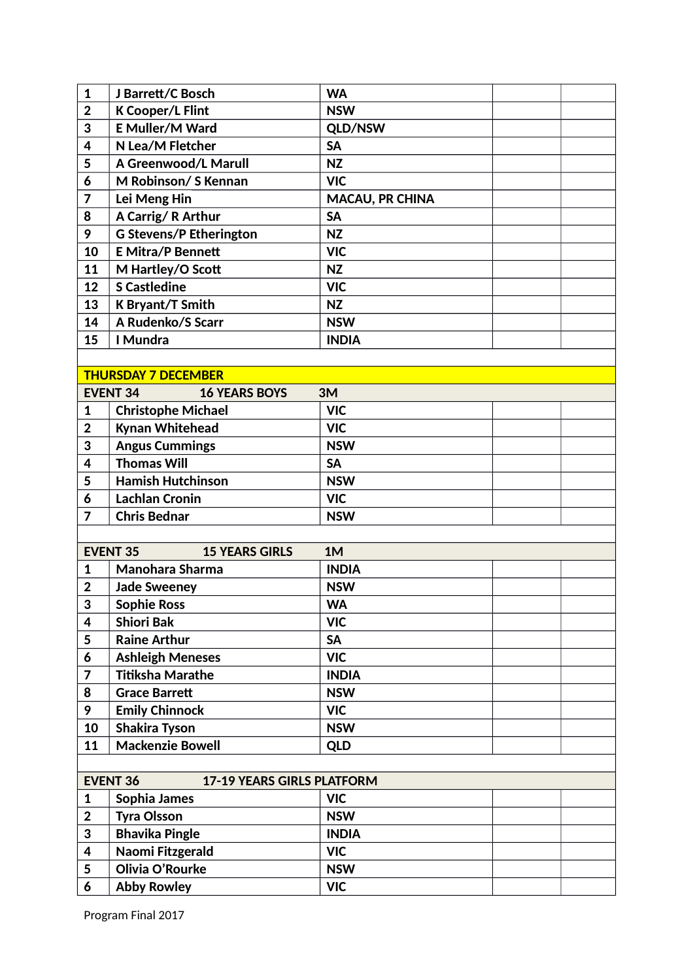| 1              | J Barrett/C Bosch                                    | <b>WA</b>              |  |
|----------------|------------------------------------------------------|------------------------|--|
| $\overline{2}$ | <b>K Cooper/L Flint</b>                              | <b>NSW</b>             |  |
| 3              | <b>E Muller/M Ward</b>                               | QLD/NSW                |  |
| 4              | N Lea/M Fletcher                                     | <b>SA</b>              |  |
| 5              | A Greenwood/L Marull                                 | <b>NZ</b>              |  |
| 6              | M Robinson/ S Kennan                                 | <b>VIC</b>             |  |
| 7              | Lei Meng Hin                                         | <b>MACAU, PR CHINA</b> |  |
| 8              | A Carrig/R Arthur                                    | <b>SA</b>              |  |
| 9              | <b>G Stevens/P Etherington</b>                       | <b>NZ</b>              |  |
| 10             | <b>E Mitra/P Bennett</b>                             | <b>VIC</b>             |  |
| 11             | M Hartley/O Scott                                    | <b>NZ</b>              |  |
| 12             | <b>S Castledine</b>                                  | <b>VIC</b>             |  |
| 13             | K Bryant/T Smith                                     | <b>NZ</b>              |  |
| 14             | A Rudenko/S Scarr                                    | <b>NSW</b>             |  |
| 15             | I Mundra                                             | <b>INDIA</b>           |  |
|                |                                                      |                        |  |
|                | <b>THURSDAY 7 DECEMBER</b>                           |                        |  |
|                | <b>EVENT 34</b><br><b>16 YEARS BOYS</b>              | 3M                     |  |
| $\mathbf{1}$   | <b>Christophe Michael</b>                            | <b>VIC</b>             |  |
| $\overline{2}$ | <b>Kynan Whitehead</b>                               | <b>VIC</b>             |  |
| 3              | <b>Angus Cummings</b>                                | <b>NSW</b>             |  |
| 4              | <b>Thomas Will</b>                                   | <b>SA</b>              |  |
| 5              | <b>Hamish Hutchinson</b>                             | <b>NSW</b>             |  |
|                |                                                      |                        |  |
| 6              | <b>Lachlan Cronin</b>                                | <b>VIC</b>             |  |
| $\overline{7}$ | <b>Chris Bednar</b>                                  | <b>NSW</b>             |  |
|                |                                                      |                        |  |
|                | <b>EVENT 35</b><br><b>15 YEARS GIRLS</b>             | 1M                     |  |
| 1              | Manohara Sharma                                      | <b>INDIA</b>           |  |
| $\overline{2}$ | <b>Jade Sweeney</b>                                  | <b>NSW</b>             |  |
| $\mathbf{R}$   | <b>Sophie Ross</b>                                   | <b>WA</b>              |  |
| 4              | <b>Shiori Bak</b>                                    | <b>VIC</b>             |  |
| 5              | <b>Raine Arthur</b>                                  | <b>SA</b>              |  |
| 6              | <b>Ashleigh Meneses</b>                              | <b>VIC</b>             |  |
| 7              | <b>Titiksha Marathe</b>                              | <b>INDIA</b>           |  |
| 8              | <b>Grace Barrett</b>                                 | <b>NSW</b>             |  |
| 9              | <b>Emily Chinnock</b>                                | <b>VIC</b>             |  |
| 10             | <b>Shakira Tyson</b>                                 | <b>NSW</b>             |  |
| 11             | <b>Mackenzie Bowell</b>                              | <b>QLD</b>             |  |
|                |                                                      |                        |  |
|                | <b>EVENT 36</b><br><b>17-19 YEARS GIRLS PLATFORM</b> |                        |  |
| 1              | Sophia James                                         | <b>VIC</b>             |  |
| $\overline{2}$ | <b>Tyra Olsson</b>                                   | <b>NSW</b>             |  |
| 3              | <b>Bhavika Pingle</b>                                | <b>INDIA</b>           |  |
| 4              | Naomi Fitzgerald                                     | <b>VIC</b>             |  |
| 5              | Olivia O'Rourke                                      | <b>NSW</b>             |  |
| 6              | <b>Abby Rowley</b>                                   | <b>VIC</b>             |  |
|                |                                                      |                        |  |

Program Final 2017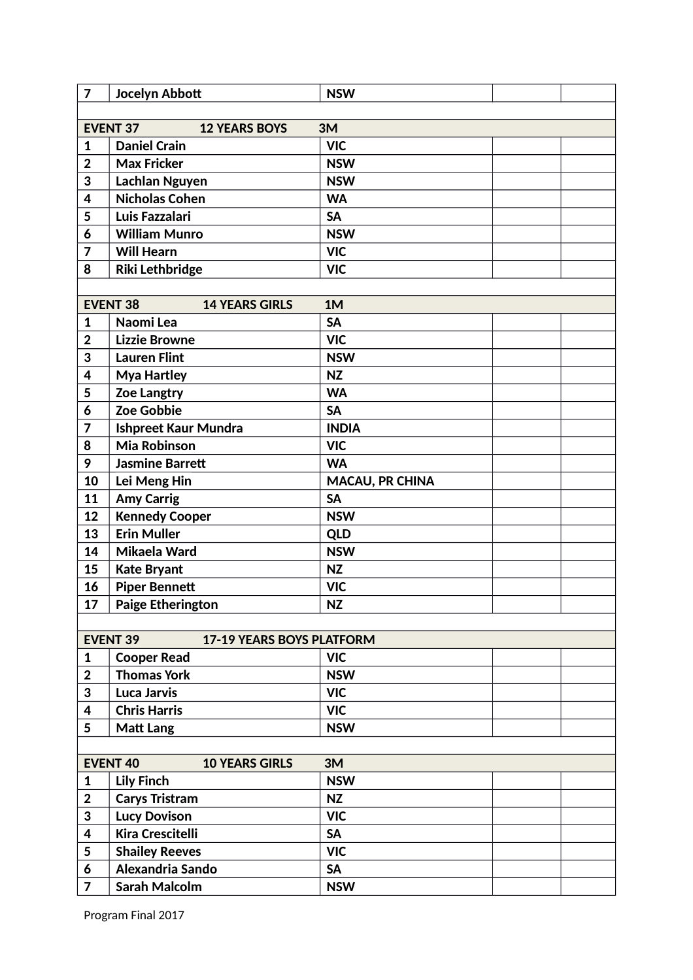| $\overline{7}$ | Jocelyn Abbott                                      | <b>NSW</b>             |  |
|----------------|-----------------------------------------------------|------------------------|--|
|                |                                                     |                        |  |
|                | <b>EVENT 37</b><br><b>12 YEARS BOYS</b>             | 3M                     |  |
| $\mathbf{1}$   | <b>Daniel Crain</b>                                 | <b>VIC</b>             |  |
| $\overline{2}$ | <b>Max Fricker</b>                                  | <b>NSW</b>             |  |
| 3              | <b>Lachlan Nguyen</b>                               | <b>NSW</b>             |  |
| 4              | <b>Nicholas Cohen</b>                               | <b>WA</b>              |  |
| 5              | Luis Fazzalari                                      | <b>SA</b>              |  |
| 6              | <b>William Munro</b>                                | <b>NSW</b>             |  |
| $\overline{7}$ | <b>Will Hearn</b>                                   | <b>VIC</b>             |  |
| 8              | <b>Riki Lethbridge</b>                              | <b>VIC</b>             |  |
|                |                                                     |                        |  |
|                | <b>EVENT 38</b><br><b>14 YEARS GIRLS</b>            | 1M                     |  |
| 1              | Naomi Lea                                           | <b>SA</b>              |  |
| $\overline{2}$ | <b>Lizzie Browne</b>                                | <b>VIC</b>             |  |
| 3              | <b>Lauren Flint</b>                                 | <b>NSW</b>             |  |
| 4              | <b>Mya Hartley</b>                                  | <b>NZ</b>              |  |
| 5              | <b>Zoe Langtry</b>                                  | <b>WA</b>              |  |
| 6              | Zoe Gobbie                                          | <b>SA</b>              |  |
| 7              | <b>Ishpreet Kaur Mundra</b>                         | <b>INDIA</b>           |  |
| 8              | <b>Mia Robinson</b>                                 | <b>VIC</b>             |  |
| 9              | <b>Jasmine Barrett</b>                              | <b>WA</b>              |  |
| 10             | Lei Meng Hin                                        | <b>MACAU, PR CHINA</b> |  |
| 11             | <b>Amy Carrig</b>                                   | <b>SA</b>              |  |
| 12             | <b>Kennedy Cooper</b>                               | <b>NSW</b>             |  |
| 13             | <b>Erin Muller</b>                                  | <b>QLD</b>             |  |
| 14             | Mikaela Ward                                        | <b>NSW</b>             |  |
| 15             | <b>Kate Bryant</b>                                  | <b>NZ</b>              |  |
| 16             | <b>Piper Bennett</b>                                | <b>VIC</b>             |  |
| 17             | <b>Paige Etherington</b>                            | <b>NZ</b>              |  |
|                |                                                     |                        |  |
|                | <b>EVENT 39</b><br><b>17-19 YEARS BOYS PLATFORM</b> |                        |  |
| 1              | <b>Cooper Read</b>                                  | <b>VIC</b>             |  |
| $\overline{2}$ | <b>Thomas York</b>                                  | <b>NSW</b>             |  |
| 3              | <b>Luca Jarvis</b>                                  | <b>VIC</b>             |  |
| 4              | <b>Chris Harris</b>                                 | <b>VIC</b>             |  |
| 5              | <b>Matt Lang</b>                                    | <b>NSW</b>             |  |
|                |                                                     |                        |  |
|                | <b>10 YEARS GIRLS</b><br><b>EVENT 40</b>            | 3M                     |  |
| $\mathbf{1}$   | <b>Lily Finch</b>                                   | <b>NSW</b>             |  |
| $\overline{2}$ | <b>Carys Tristram</b>                               | <b>NZ</b>              |  |
| 3              | <b>Lucy Dovison</b>                                 | <b>VIC</b>             |  |
| 4              | <b>Kira Crescitelli</b>                             | <b>SA</b>              |  |
|                |                                                     |                        |  |
| 5              | <b>Shailey Reeves</b>                               | <b>VIC</b>             |  |
| 6              | Alexandria Sando                                    | <b>SA</b>              |  |
| $\overline{7}$ | <b>Sarah Malcolm</b>                                | <b>NSW</b>             |  |

Program Final 2017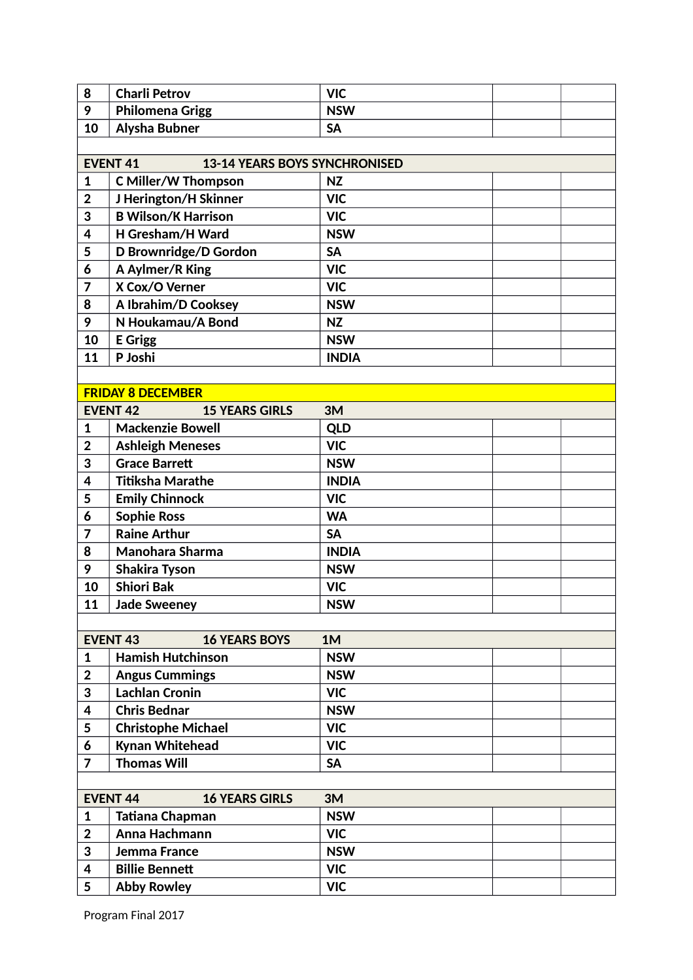| 8              | <b>Charli Petrov</b>                                    | <b>VIC</b>   |  |
|----------------|---------------------------------------------------------|--------------|--|
| 9              | <b>Philomena Grigg</b>                                  | <b>NSW</b>   |  |
| 10             | <b>Alysha Bubner</b>                                    | <b>SA</b>    |  |
|                |                                                         |              |  |
|                | <b>EVENT 41</b><br><b>13-14 YEARS BOYS SYNCHRONISED</b> |              |  |
| 1              | <b>C Miller/W Thompson</b>                              | <b>NZ</b>    |  |
| $\overline{2}$ | J Herington/H Skinner                                   | <b>VIC</b>   |  |
| 3              | <b>B Wilson/K Harrison</b>                              | <b>VIC</b>   |  |
| 4              | H Gresham/H Ward                                        | <b>NSW</b>   |  |
| 5              | D Brownridge/D Gordon                                   | <b>SA</b>    |  |
| 6              | A Aylmer/R King                                         | <b>VIC</b>   |  |
| 7              | X Cox/O Verner                                          | <b>VIC</b>   |  |
| 8              | A Ibrahim/D Cooksey                                     | <b>NSW</b>   |  |
| 9              | N Houkamau/A Bond                                       | <b>NZ</b>    |  |
| 10             | <b>E</b> Grigg                                          | <b>NSW</b>   |  |
| 11             | P Joshi                                                 | <b>INDIA</b> |  |
|                |                                                         |              |  |
|                | <b>FRIDAY 8 DECEMBER</b>                                |              |  |
|                | <b>EVENT 42</b><br><b>15 YEARS GIRLS</b>                | 3M           |  |
| 1              | <b>Mackenzie Bowell</b>                                 | <b>QLD</b>   |  |
| $\mathbf 2$    | <b>Ashleigh Meneses</b>                                 | <b>VIC</b>   |  |
| 3              | <b>Grace Barrett</b>                                    | <b>NSW</b>   |  |
| 4              | <b>Titiksha Marathe</b>                                 | <b>INDIA</b> |  |
| 5              | <b>Emily Chinnock</b>                                   | <b>VIC</b>   |  |
| 6              | <b>Sophie Ross</b>                                      | <b>WA</b>    |  |
| 7              | <b>Raine Arthur</b>                                     | <b>SA</b>    |  |
| 8              | Manohara Sharma                                         | <b>INDIA</b> |  |
| 9              | <b>Shakira Tyson</b>                                    | <b>NSW</b>   |  |
| 10             | <b>Shiori Bak</b>                                       | <b>VIC</b>   |  |
| 11             | <b>Jade Sweeney</b>                                     | <b>NSW</b>   |  |
|                |                                                         |              |  |
|                | <b>EVENT 43</b><br><b>16 YEARS BOYS</b>                 | 1M           |  |
| $\mathbf{1}$   | <b>Hamish Hutchinson</b>                                | <b>NSW</b>   |  |
| $\mathbf 2$    | <b>Angus Cummings</b>                                   | <b>NSW</b>   |  |
| 3              | <b>Lachlan Cronin</b>                                   | <b>VIC</b>   |  |
| 4              | <b>Chris Bednar</b>                                     | <b>NSW</b>   |  |
| 5              | <b>Christophe Michael</b>                               | <b>VIC</b>   |  |
| 6              | Kynan Whitehead                                         | <b>VIC</b>   |  |
| $\overline{7}$ | <b>Thomas Will</b>                                      | <b>SA</b>    |  |
|                |                                                         |              |  |
|                | <b>EVENT 44</b><br><b>16 YEARS GIRLS</b>                | 3M           |  |
| $\mathbf{1}$   | Tatiana Chapman                                         | <b>NSW</b>   |  |
| $\overline{2}$ | Anna Hachmann                                           | <b>VIC</b>   |  |
| 3              | Jemma France                                            | <b>NSW</b>   |  |
| 4              | <b>Billie Bennett</b>                                   | <b>VIC</b>   |  |
| 5              | <b>Abby Rowley</b>                                      | <b>VIC</b>   |  |
|                |                                                         |              |  |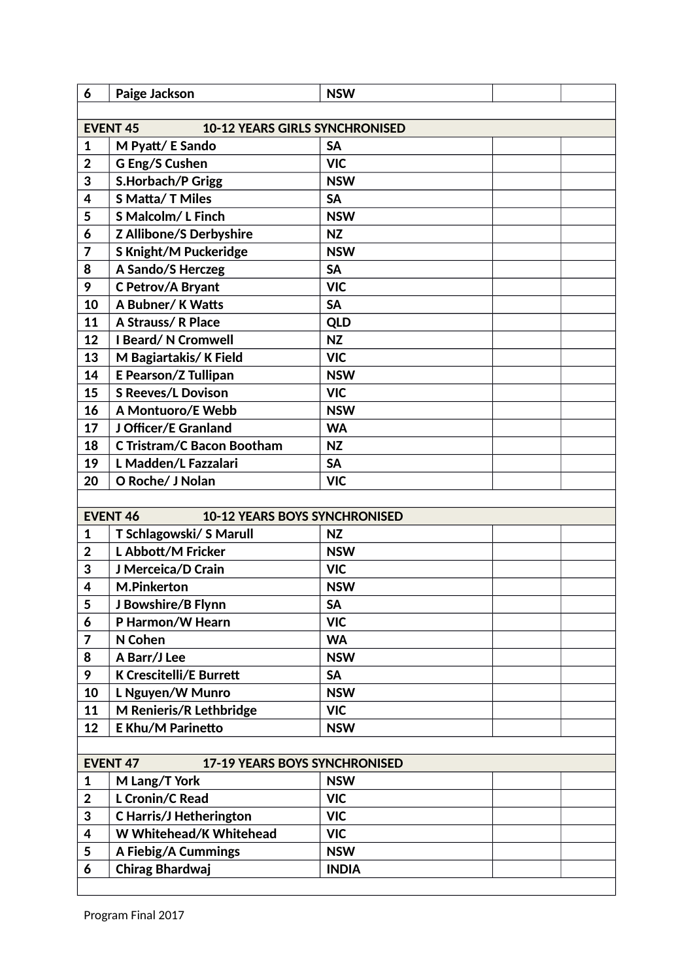| 6                                                        | Paige Jackson                     | <b>NSW</b>   |  |  |  |  |  |  |
|----------------------------------------------------------|-----------------------------------|--------------|--|--|--|--|--|--|
|                                                          |                                   |              |  |  |  |  |  |  |
| <b>EVENT 45</b><br><b>10-12 YEARS GIRLS SYNCHRONISED</b> |                                   |              |  |  |  |  |  |  |
| 1                                                        | M Pyatt/ E Sando                  | <b>SA</b>    |  |  |  |  |  |  |
| $\overline{2}$                                           | G Eng/S Cushen                    | <b>VIC</b>   |  |  |  |  |  |  |
| 3                                                        | <b>S.Horbach/P Grigg</b>          | <b>NSW</b>   |  |  |  |  |  |  |
| 4                                                        | <b>S Matta/T Miles</b>            | <b>SA</b>    |  |  |  |  |  |  |
| 5                                                        | S Malcolm/L Finch                 | <b>NSW</b>   |  |  |  |  |  |  |
| 6                                                        | <b>Z Allibone/S Derbyshire</b>    | <b>NZ</b>    |  |  |  |  |  |  |
| 7                                                        | <b>S Knight/M Puckeridge</b>      | <b>NSW</b>   |  |  |  |  |  |  |
| 8                                                        | A Sando/S Herczeg                 | <b>SA</b>    |  |  |  |  |  |  |
| 9                                                        | C Petrov/A Bryant                 | <b>VIC</b>   |  |  |  |  |  |  |
| 10                                                       | A Bubner/K Watts                  | <b>SA</b>    |  |  |  |  |  |  |
| 11                                                       | <b>A Strauss/R Place</b>          | <b>QLD</b>   |  |  |  |  |  |  |
| 12                                                       | <b>I Beard/N Cromwell</b>         | <b>NZ</b>    |  |  |  |  |  |  |
| 13                                                       | M Bagiartakis/K Field             | <b>VIC</b>   |  |  |  |  |  |  |
| 14                                                       | <b>E Pearson/Z Tullipan</b>       | <b>NSW</b>   |  |  |  |  |  |  |
| 15                                                       | <b>S Reeves/L Dovison</b>         | <b>VIC</b>   |  |  |  |  |  |  |
| 16                                                       | A Montuoro/E Webb                 | <b>NSW</b>   |  |  |  |  |  |  |
| 17                                                       | J Officer/E Granland              | <b>WA</b>    |  |  |  |  |  |  |
| 18                                                       | <b>C Tristram/C Bacon Bootham</b> | <b>NZ</b>    |  |  |  |  |  |  |
| 19                                                       | L Madden/L Fazzalari              | <b>SA</b>    |  |  |  |  |  |  |
| 20                                                       | O Roche/ J Nolan                  | <b>VIC</b>   |  |  |  |  |  |  |
|                                                          |                                   |              |  |  |  |  |  |  |
| <b>EVENT 46</b><br><b>10-12 YEARS BOYS SYNCHRONISED</b>  |                                   |              |  |  |  |  |  |  |
| 1                                                        | T Schlagowski/ S Marull           | <b>NZ</b>    |  |  |  |  |  |  |
| $\overline{2}$                                           | L Abbott/M Fricker                | <b>NSW</b>   |  |  |  |  |  |  |
| 3                                                        | J Merceica/D Crain                | <b>VIC</b>   |  |  |  |  |  |  |
| 4                                                        | <b>M.Pinkerton</b>                | <b>NSW</b>   |  |  |  |  |  |  |
| $\overline{a}$<br>J                                      | J Bowshire/B Flynn                | <b>SA</b>    |  |  |  |  |  |  |
| 6                                                        | P Harmon/W Hearn                  | <b>VIC</b>   |  |  |  |  |  |  |
| 7                                                        | N Cohen                           | <b>WA</b>    |  |  |  |  |  |  |
| 8                                                        | A Barr/J Lee                      | <b>NSW</b>   |  |  |  |  |  |  |
| 9                                                        | <b>K Crescitelli/E Burrett</b>    | <b>SA</b>    |  |  |  |  |  |  |
| 10                                                       | L Nguyen/W Munro                  | <b>NSW</b>   |  |  |  |  |  |  |
| 11                                                       | M Renieris/R Lethbridge           | <b>VIC</b>   |  |  |  |  |  |  |
| 12                                                       | <b>E Khu/M Parinetto</b>          | <b>NSW</b>   |  |  |  |  |  |  |
|                                                          |                                   |              |  |  |  |  |  |  |
| <b>EVENT 47</b><br><b>17-19 YEARS BOYS SYNCHRONISED</b>  |                                   |              |  |  |  |  |  |  |
| $\mathbf 1$                                              | M Lang/T York                     | <b>NSW</b>   |  |  |  |  |  |  |
| $\overline{2}$                                           | <b>L Cronin/C Read</b>            | <b>VIC</b>   |  |  |  |  |  |  |
| 3                                                        | <b>C Harris/J Hetherington</b>    | <b>VIC</b>   |  |  |  |  |  |  |
| 4                                                        | W Whitehead/K Whitehead           | <b>VIC</b>   |  |  |  |  |  |  |
| 5                                                        | A Fiebig/A Cummings               | <b>NSW</b>   |  |  |  |  |  |  |
| 6                                                        | Chirag Bhardwaj                   | <b>INDIA</b> |  |  |  |  |  |  |
|                                                          |                                   |              |  |  |  |  |  |  |